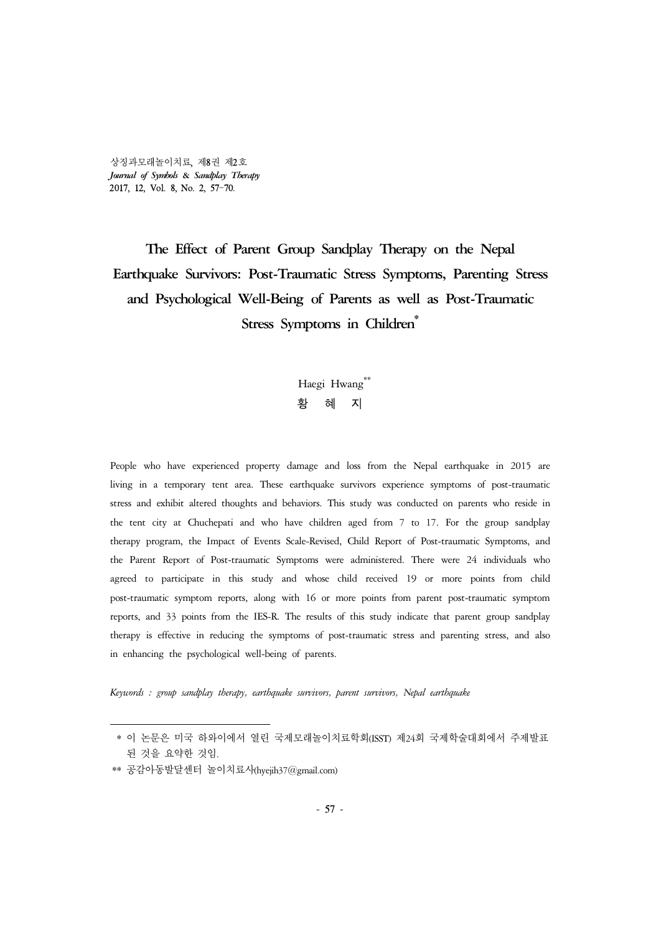상징과모래놀이치료, 제8권 제2호 *Journal of Symbols* **&** *Sandplay Therapy* 2017, 12, Vol. 8, No. 2, 57-70.

# **The Effect of Parent Group Sandplay Therapy on the Nepal Earthquake Survivors: Post-Traumatic Stress Symptoms, Parenting Stress and Psychological Well-Being of Parents as well as Post-Traumatic Stress Symptoms in Children\***

Haegi Hwang\*\* 황 혜 지

People who have experienced property damage and loss from the Nepal earthquake in 2015 are living in a temporary tent area. These earthquake survivors experience symptoms of post-traumatic stress and exhibit altered thoughts and behaviors. This study was conducted on parents who reside in the tent city at Chuchepati and who have children aged from 7 to 17. For the group sandplay therapy program, the Impact of Events Scale-Revised, Child Report of Post-traumatic Symptoms, and the Parent Report of Post-traumatic Symptoms were administered. There were 24 individuals who agreed to participate in this study and whose child received 19 or more points from child post-traumatic symptom reports, along with 16 or more points from parent post-traumatic symptom reports, and 33 points from the IES-R. The results of this study indicate that parent group sandplay therapy is effective in reducing the symptoms of post-traumatic stress and parenting stress, and also in enhancing the psychological well-being of parents.

*Keywords : group sandplay therapy, earthquake survivors, parent survivors, Nepal earthquake*

<sup>\*</sup> 이 논문은 미국 하와이에서 열린 국제모래놀이치료학회(ISST) 제24회 국제학술대회에서 주제발표 된 것을 요약한 것임.

<sup>\*\*</sup> 공감아동발달센터 놀이치료사(hyejih37@gmail.com)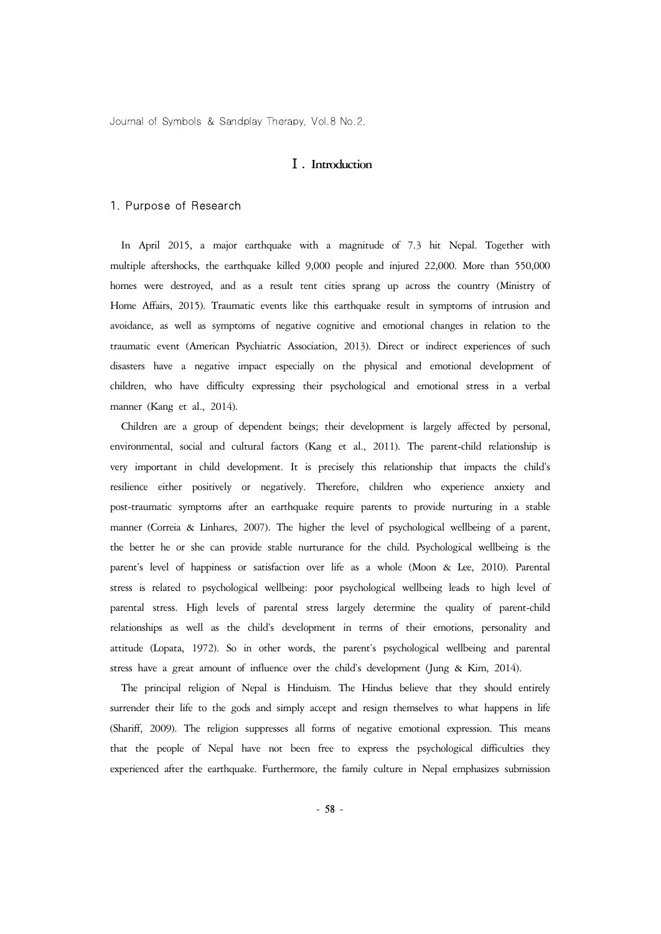#### Ⅰ**. Introduction**

#### 1. Purpose of Research

In April 2015, a major earthquake with a magnitude of 7.3 hit Nepal. Together with multiple aftershocks, the earthquake killed 9,000 people and injured 22,000. More than 550,000 homes were destroyed, and as a result tent cities sprang up across the country (Ministry of Home Affairs, 2015). Traumatic events like this earthquake result in symptoms of intrusion and avoidance, as well as symptoms of negative cognitive and emotional changes in relation to the traumatic event (American Psychiatric Association, 2013). Direct or indirect experiences of such disasters have a negative impact especially on the physical and emotional development of children, who have difficulty expressing their psychological and emotional stress in a verbal manner (Kang et al., 2014).

Children are a group of dependent beings; their development is largely affected by personal, environmental, social and cultural factors (Kang et al., 2011). The parent-child relationship is very important in child development. It is precisely this relationship that impacts the child's resilience either positively or negatively. Therefore, children who experience anxiety and post-traumatic symptoms after an earthquake require parents to provide nurturing in a stable manner (Correia & Linhares, 2007). The higher the level of psychological wellbeing of a parent, the better he or she can provide stable nurturance for the child. Psychological wellbeing is the parent's level of happiness or satisfaction over life as a whole (Moon & Lee, 2010). Parental stress is related to psychological wellbeing: poor psychological wellbeing leads to high level of parental stress. High levels of parental stress largely determine the quality of parent-child relationships as well as the child's development in terms of their emotions, personality and attitude (Lopata, 1972). So in other words, the parent's psychological wellbeing and parental stress have a great amount of influence over the child's development (Jung & Kim, 2014).

The principal religion of Nepal is Hinduism. The Hindus believe that they should entirely surrender their life to the gods and simply accept and resign themselves to what happens in life (Shariff, 2009). The religion suppresses all forms of negative emotional expression. This means that the people of Nepal have not been free to express the psychological difficulties they experienced after the earthquake. Furthermore, the family culture in Nepal emphasizes submission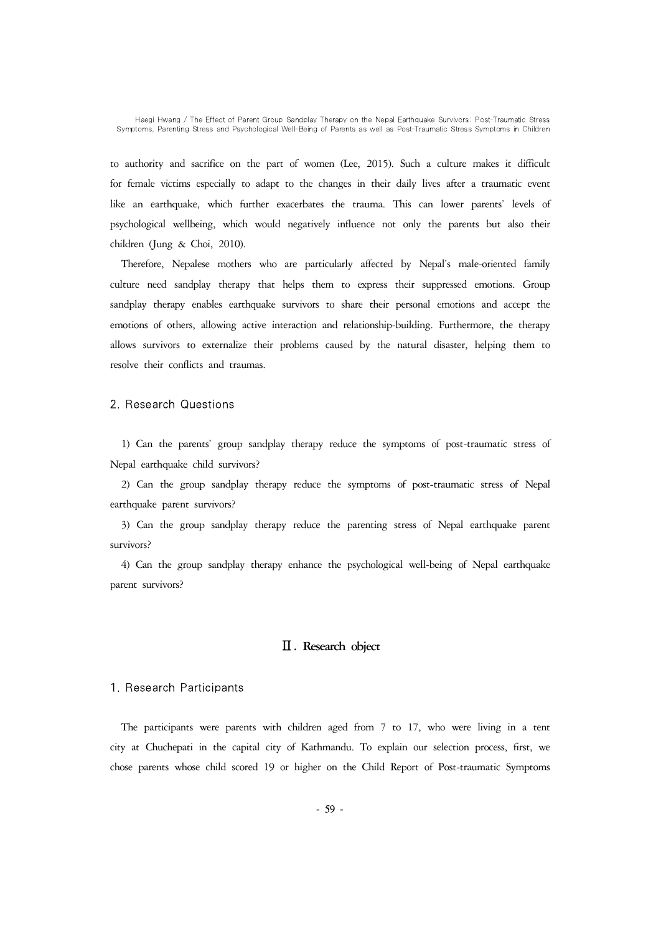to authority and sacrifice on the part of women (Lee, 2015). Such a culture makes it difficult for female victims especially to adapt to the changes in their daily lives after a traumatic event like an earthquake, which further exacerbates the trauma. This can lower parents' levels of psychological wellbeing, which would negatively influence not only the parents but also their children (Jung & Choi, 2010).

Therefore, Nepalese mothers who are particularly affected by Nepal's male-oriented family culture need sandplay therapy that helps them to express their suppressed emotions. Group sandplay therapy enables earthquake survivors to share their personal emotions and accept the emotions of others, allowing active interaction and relationship-building. Furthermore, the therapy allows survivors to externalize their problems caused by the natural disaster, helping them to resolve their conflicts and traumas.

### 2. Research Questions

1) Can the parents' group sandplay therapy reduce the symptoms of post-traumatic stress of Nepal earthquake child survivors?

2) Can the group sandplay therapy reduce the symptoms of post-traumatic stress of Nepal earthquake parent survivors?

3) Can the group sandplay therapy reduce the parenting stress of Nepal earthquake parent survivors?

4) Can the group sandplay therapy enhance the psychological well-being of Nepal earthquake parent survivors?

## Ⅱ**. Research object**

#### 1. Research Participants

The participants were parents with children aged from 7 to 17, who were living in a tent city at Chuchepati in the capital city of Kathmandu. To explain our selection process, first, we chose parents whose child scored 19 or higher on the Child Report of Post-traumatic Symptoms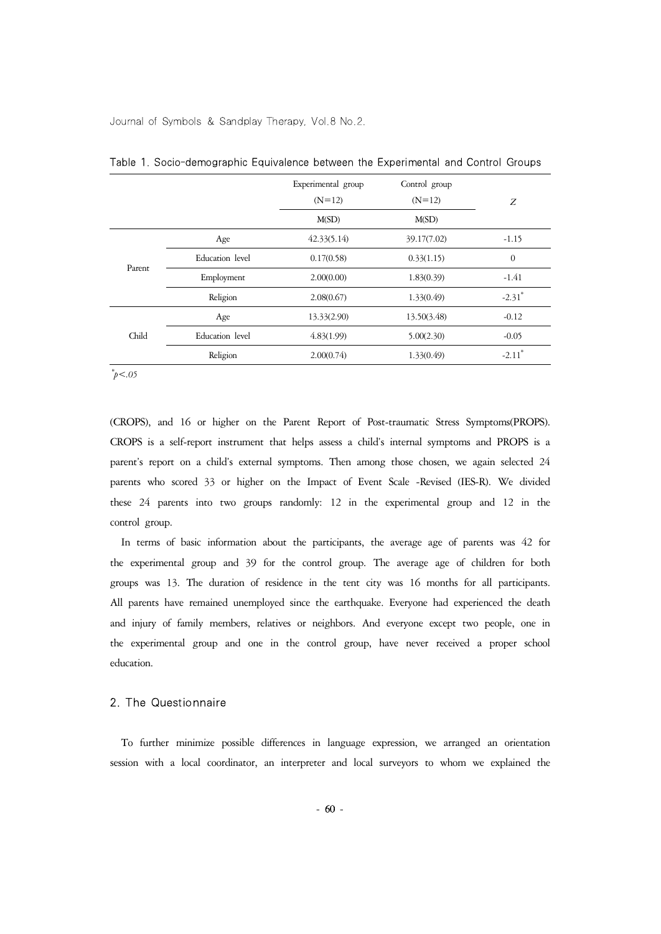|        |                 | Experimental group<br>$(N=12)$ | Control group<br>$(N=12)$ | Z                    |
|--------|-----------------|--------------------------------|---------------------------|----------------------|
|        |                 | M(SD)                          | M(SD)                     |                      |
| Parent | Age             | 42.33(5.14)                    | 39.17(7.02)               | $-1.15$              |
|        | Education level | 0.17(0.58)                     | 0.33(1.15)                | $\theta$             |
|        | Employment      | 2.00(0.00)                     | 1.83(0.39)                | $-1.41$              |
|        | Religion        | 2.08(0.67)                     | 1.33(0.49)                | $-2.31$ <sup>*</sup> |
| Child  | Age             | 13.33(2.90)                    | 13.50(3.48)               | $-0.12$              |
|        | Education level | 4.83(1.99)                     | 5.00(2.30)                | $-0.05$              |
|        | Religion        | 2.00(0.74)                     | 1.33(0.49)                | $-2.11$ <sup>*</sup> |

Table 1. Socio-demographic Equivalence between the Experimental and Control Groups

*\*p<.05*

(CROPS), and 16 or higher on the Parent Report of Post-traumatic Stress Symptoms(PROPS). CROPS is a self-report instrument that helps assess a child's internal symptoms and PROPS is a parent's report on a child's external symptoms. Then among those chosen, we again selected 24 parents who scored 33 or higher on the Impact of Event Scale -Revised (IES-R). We divided these 24 parents into two groups randomly: 12 in the experimental group and 12 in the control group.

In terms of basic information about the participants, the average age of parents was 42 for the experimental group and 39 for the control group. The average age of children for both groups was 13. The duration of residence in the tent city was 16 months for all participants. All parents have remained unemployed since the earthquake. Everyone had experienced the death and injury of family members, relatives or neighbors. And everyone except two people, one in the experimental group and one in the control group, have never received a proper school education.

#### 2. The Questionnaire

To further minimize possible differences in language expression, we arranged an orientation session with a local coordinator, an interpreter and local surveyors to whom we explained the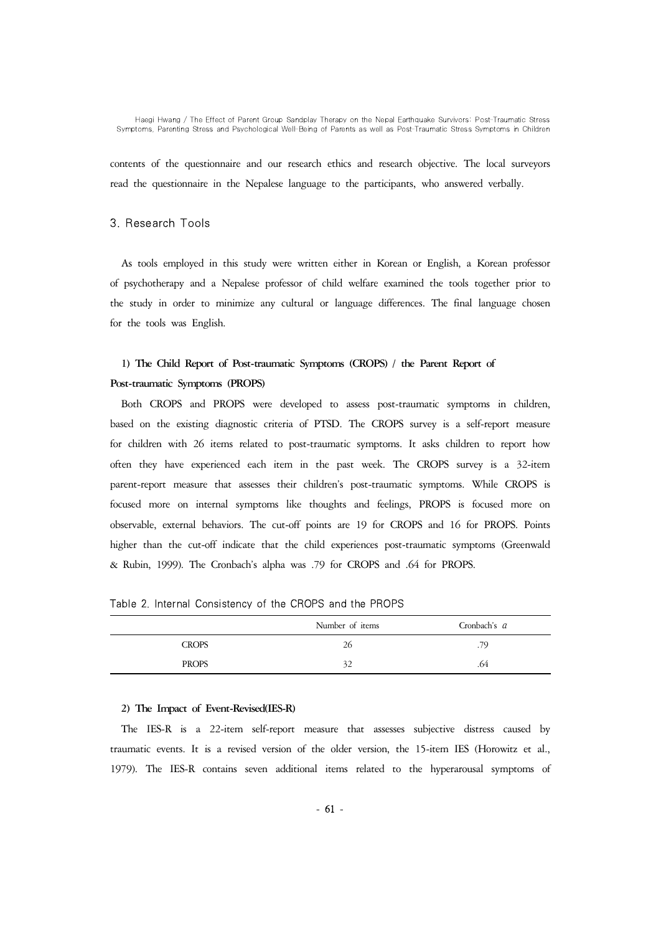contents of the questionnaire and our research ethics and research objective. The local surveyors read the questionnaire in the Nepalese language to the participants, who answered verbally.

#### 3. Research Tools

As tools employed in this study were written either in Korean or English, a Korean professor of psychotherapy and a Nepalese professor of child welfare examined the tools together prior to the study in order to minimize any cultural or language differences. The final language chosen for the tools was English.

# **1) The Child Report of Post-traumatic Symptoms (CROPS) / the Parent Report of Post-traumatic Symptoms (PROPS)**

Both CROPS and PROPS were developed to assess post-traumatic symptoms in children, based on the existing diagnostic criteria of PTSD. The CROPS survey is a self-report measure for children with 26 items related to post-traumatic symptoms. It asks children to report how often they have experienced each item in the past week. The CROPS survey is a 32-item parent-report measure that assesses their children's post-traumatic symptoms. While CROPS is focused more on internal symptoms like thoughts and feelings, PROPS is focused more on observable, external behaviors. The cut-off points are 19 for CROPS and 16 for PROPS. Points higher than the cut-off indicate that the child experiences post-traumatic symptoms (Greenwald & Rubin, 1999). The Cronbach's alpha was .79 for CROPS and .64 for PROPS.

|              | Number of items | Cronbach's a |
|--------------|-----------------|--------------|
| <b>CROPS</b> | 26              | .79          |
| <b>PROPS</b> | 32              | .64          |

Table 2. Internal Consistency of the CROPS and the PROPS

#### **2) The Impact of Event-Revised(IES-R)**

The IES-R is a 22-item self-report measure that assesses subjective distress caused by traumatic events. It is a revised version of the older version, the 15-item IES (Horowitz et al., 1979). The IES-R contains seven additional items related to the hyperarousal symptoms of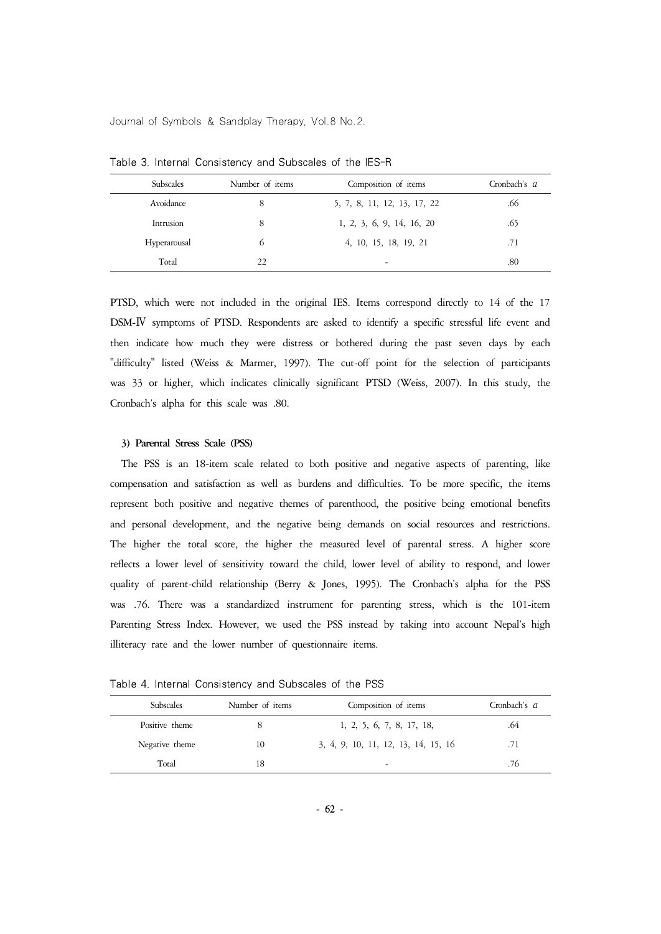| Subscales    | Number of items | Composition of items        | Cronbach's a |
|--------------|-----------------|-----------------------------|--------------|
| Avoidance    | 8               | 5, 7, 8, 11, 12, 13, 17, 22 | .66          |
| Intrusion    | 8               | 1, 2, 3, 6, 9, 14, 16, 20   | .65          |
| Hyperarousal | $^{(1)}$        | 4, 10, 15, 18, 19, 21       | .71          |
| Total        | 22              | ۰                           | .80          |

Table 3. Internal Consistency and Subscales of the IES-R

PTSD, which were not included in the original IES. Items correspond directly to 14 of the 17 DSM-Ⅳ symptoms of PTSD. Respondents are asked to identify a specific stressful life event and then indicate how much they were distress or bothered during the past seven days by each "difficulty" listed (Weiss & Marmer, 1997). The cut-off point for the selection of participants was 33 or higher, which indicates clinically significant PTSD (Weiss, 2007). In this study, the Cronbach's alpha for this scale was .80.

#### **3) Parental Stress Scale (PSS)**

The PSS is an 18-item scale related to both positive and negative aspects of parenting, like compensation and satisfaction as well as burdens and difficulties. To be more specific, the items represent both positive and negative themes of parenthood, the positive being emotional benefits and personal development, and the negative being demands on social resources and restrictions. The higher the total score, the higher the measured level of parental stress. A higher score reflects a lower level of sensitivity toward the child, lower level of ability to respond, and lower quality of parent-child relationship (Berry & Jones, 1995). The Cronbach's alpha for the PSS was .76. There was a standardized instrument for parenting stress, which is the 101-item Parenting Stress Index. However, we used the PSS instead by taking into account Nepal's high illiteracy rate and the lower number of questionnaire items.

Table 4. Internal Consistency and Subscales of the PSS

| <b>Subscales</b> | Number of items | Composition of items                | Cronbach's a |
|------------------|-----------------|-------------------------------------|--------------|
| Positive theme   |                 | 1, 2, 5, 6, 7, 8, 17, 18,           | .64          |
| Negative theme   | 10              | 3, 4, 9, 10, 11, 12, 13, 14, 15, 16 | .71          |
| Total            | 18              | $\overline{\phantom{0}}$            | .76          |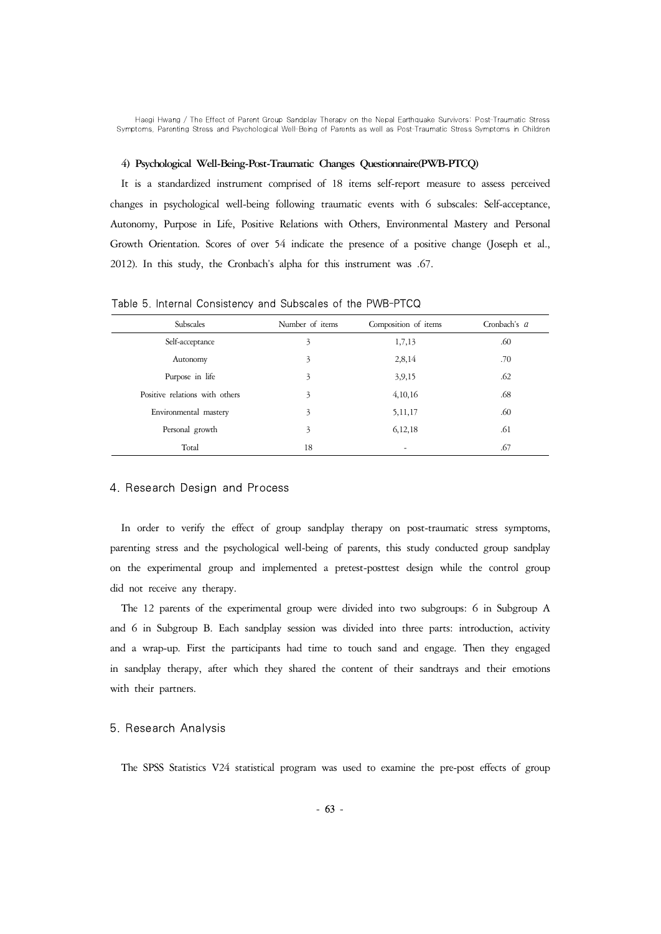#### **4) Psychological Well-Being-Post-Traumatic Changes Questionnaire(PWB-PTCQ)**

It is a standardized instrument comprised of 18 items self-report measure to assess perceived changes in psychological well-being following traumatic events with 6 subscales: Self-acceptance, Autonomy, Purpose in Life, Positive Relations with Others, Environmental Mastery and Personal Growth Orientation. Scores of over 54 indicate the presence of a positive change (Joseph et al., 2012). In this study, the Cronbach's alpha for this instrument was .67.

| Subscales                      | Number of items | Composition of items     | Cronbach's a |
|--------------------------------|-----------------|--------------------------|--------------|
| Self-acceptance                | 3               | 1,7,13                   | .60          |
| Autonomy                       | 3               | 2,8,14                   | .70          |
| Purpose in life                | 3               | 3,9,15                   | .62          |
| Positive relations with others | 3               | 4,10,16                  | .68          |
| Environmental mastery          | 3               | 5, 11, 17                | .60          |
| Personal growth                | 3               | 6, 12, 18                | .61          |
| Total                          | 18              | $\overline{\phantom{a}}$ | .67          |

Table 5. Internal Consistency and Subscales of the PWB-PTCQ

#### 4. Research Design and Process

In order to verify the effect of group sandplay therapy on post-traumatic stress symptoms, parenting stress and the psychological well-being of parents, this study conducted group sandplay on the experimental group and implemented a pretest-posttest design while the control group did not receive any therapy.

The 12 parents of the experimental group were divided into two subgroups: 6 in Subgroup A and 6 in Subgroup B. Each sandplay session was divided into three parts: introduction, activity and a wrap-up. First the participants had time to touch sand and engage. Then they engaged in sandplay therapy, after which they shared the content of their sandtrays and their emotions with their partners.

## 5. Research Analysis

The SPSS Statistics V24 statistical program was used to examine the pre-post effects of group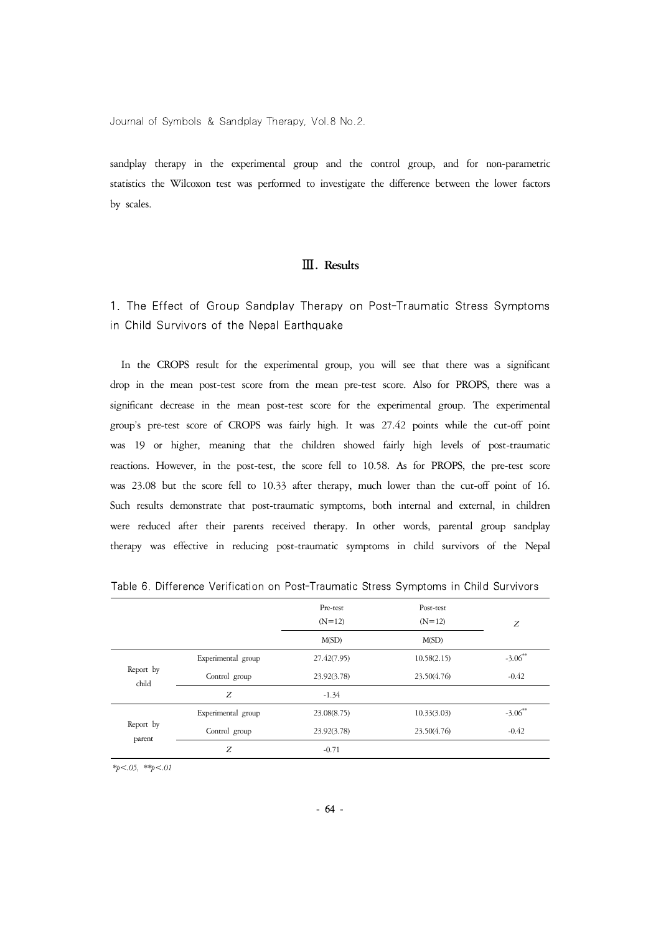sandplay therapy in the experimental group and the control group, and for non-parametric statistics the Wilcoxon test was performed to investigate the difference between the lower factors by scales.

# Ⅲ**. Results**

1. The Effect of Group Sandplay Therapy on Post-Traumatic Stress Symptoms in Child Survivors of the Nepal Earthquake

In the CROPS result for the experimental group, you will see that there was a significant drop in the mean post-test score from the mean pre-test score. Also for PROPS, there was a significant decrease in the mean post-test score for the experimental group. The experimental group's pre-test score of CROPS was fairly high. It was 27.42 points while the cut-off point was 19 or higher, meaning that the children showed fairly high levels of post-traumatic reactions. However, in the post-test, the score fell to 10.58. As for PROPS, the pre-test score was 23.08 but the score fell to 10.33 after therapy, much lower than the cut-off point of 16. Such results demonstrate that post-traumatic symptoms, both internal and external, in children were reduced after their parents received therapy. In other words, parental group sandplay therapy was effective in reducing post-traumatic symptoms in child survivors of the Nepal

|                     |                    | Pre-test    | Post-test   |            |
|---------------------|--------------------|-------------|-------------|------------|
|                     |                    | $(N=12)$    | $(N=12)$    | Z          |
|                     |                    | M(SD)       | M(SD)       |            |
|                     | Experimental group | 27.42(7.95) | 10.58(2.15) | $-3.06**$  |
| Report by<br>child  | Control group      | 23.92(3.78) | 23.50(4.76) | $-0.42$    |
|                     | Z                  | $-1.34$     |             |            |
|                     | Experimental group | 23.08(8.75) | 10.33(3.03) | $-3.06***$ |
| Report by<br>parent | Control group      | 23.92(3.78) | 23.50(4.76) | $-0.42$    |
|                     | Ζ                  | $-0.71$     |             |            |

Table 6. Difference Verification on Post-Traumatic Stress Symptoms in Child Survivors

*\*p<.05, \*\*p<.01*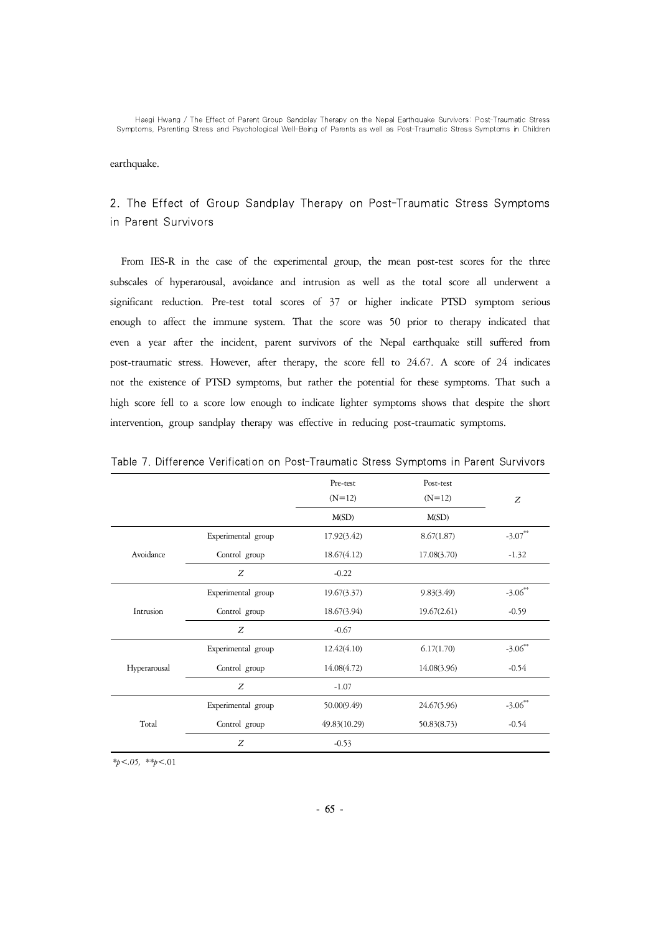earthquake.

# 2. The Effect of Group Sandplay Therapy on Post-Traumatic Stress Symptoms in Parent Survivors

From IES-R in the case of the experimental group, the mean post-test scores for the three subscales of hyperarousal, avoidance and intrusion as well as the total score all underwent a significant reduction. Pre-test total scores of 37 or higher indicate PTSD symptom serious enough to affect the immune system. That the score was 50 prior to therapy indicated that even a year after the incident, parent survivors of the Nepal earthquake still suffered from post-traumatic stress. However, after therapy, the score fell to 24.67. A score of 24 indicates not the existence of PTSD symptoms, but rather the potential for these symptoms. That such a high score fell to a score low enough to indicate lighter symptoms shows that despite the short intervention, group sandplay therapy was effective in reducing post-traumatic symptoms.

|              |                    | Pre-test     | Post-test   |            |
|--------------|--------------------|--------------|-------------|------------|
|              |                    | $(N=12)$     | $(N=12)$    | Z          |
|              |                    | M(SD)        | M(SD)       |            |
|              | Experimental group | 17.92(3.42)  | 8.67(1.87)  | $-3.07***$ |
| Avoidance    | Control group      | 18.67(4.12)  | 17.08(3.70) | $-1.32$    |
|              | Z                  | $-0.22$      |             |            |
|              | Experimental group | 19.67(3.37)  | 9.83(3.49)  | $-3.06***$ |
| Intrusion    | Control group      | 18.67(3.94)  | 19.67(2.61) | $-0.59$    |
|              | Z                  | $-0.67$      |             |            |
|              | Experimental group | 12.42(4.10)  | 6.17(1.70)  | $-3.06$ ** |
| Hyperarousal | Control group      | 14.08(4.72)  | 14.08(3.96) | $-0.54$    |
|              | Z                  | $-1.07$      |             |            |
|              | Experimental group | 50.00(9.49)  | 24.67(5.96) | $-3.06$ ** |
| Total        | Control group      | 49.83(10.29) | 50.83(8.73) | $-0.54$    |
|              | Z                  | $-0.53$      |             |            |

Table 7. Difference Verification on Post-Traumatic Stress Symptoms in Parent Survivors

*\*p<.05, \*\*p<.*01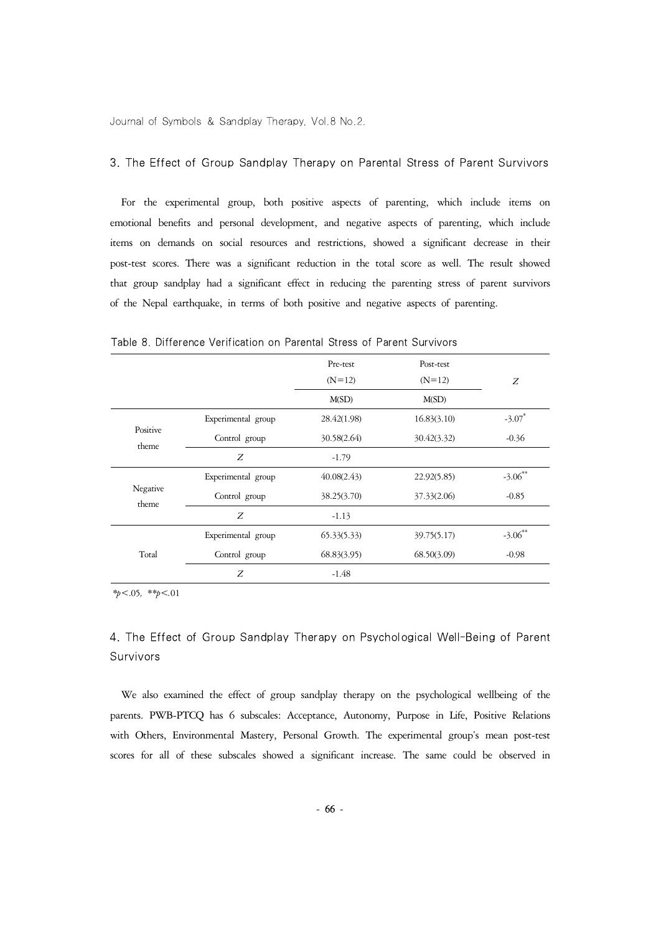# 3. The Effect of Group Sandplay Therapy on Parental Stress of Parent Survivors

For the experimental group, both positive aspects of parenting, which include items on emotional benefits and personal development, and negative aspects of parenting, which include items on demands on social resources and restrictions, showed a significant decrease in their post-test scores. There was a significant reduction in the total score as well. The result showed that group sandplay had a significant effect in reducing the parenting stress of parent survivors of the Nepal earthquake, in terms of both positive and negative aspects of parenting.

|                   |                    | Pre-test    | Post-test   |                      |
|-------------------|--------------------|-------------|-------------|----------------------|
|                   |                    | $(N=12)$    | $(N=12)$    | Z                    |
|                   |                    | M(SD)       | M(SD)       |                      |
|                   | Experimental group | 28.42(1.98) | 16.83(3.10) | $-3.07$ <sup>*</sup> |
| Positive<br>theme | Control group      | 30.58(2.64) | 30.42(3.32) | $-0.36$              |
|                   | Z                  | $-1.79$     |             |                      |
|                   | Experimental group | 40.08(2.43) | 22.92(5.85) | $-3.06$ **           |
| Negative<br>theme | Control group      | 38.25(3.70) | 37.33(2.06) | $-0.85$              |
|                   | Z                  | $-1.13$     |             |                      |
|                   | Experimental group | 65.33(5.33) | 39.75(5.17) | $-3.06$ **           |
| Total             | Control group      | 68.83(3.95) | 68.50(3.09) | $-0.98$              |
|                   | Z                  | $-1.48$     |             |                      |

Table 8. Difference Verification on Parental Stress of Parent Survivors

*\*p<*.05*, \*\*p<.*01

# 4. The Effect of Group Sandplay Therapy on Psychological Well-Being of Parent Survivors

We also examined the effect of group sandplay therapy on the psychological wellbeing of the parents. PWB-PTCQ has 6 subscales: Acceptance, Autonomy, Purpose in Life, Positive Relations with Others, Environmental Mastery, Personal Growth. The experimental group's mean post-test scores for all of these subscales showed a significant increase. The same could be observed in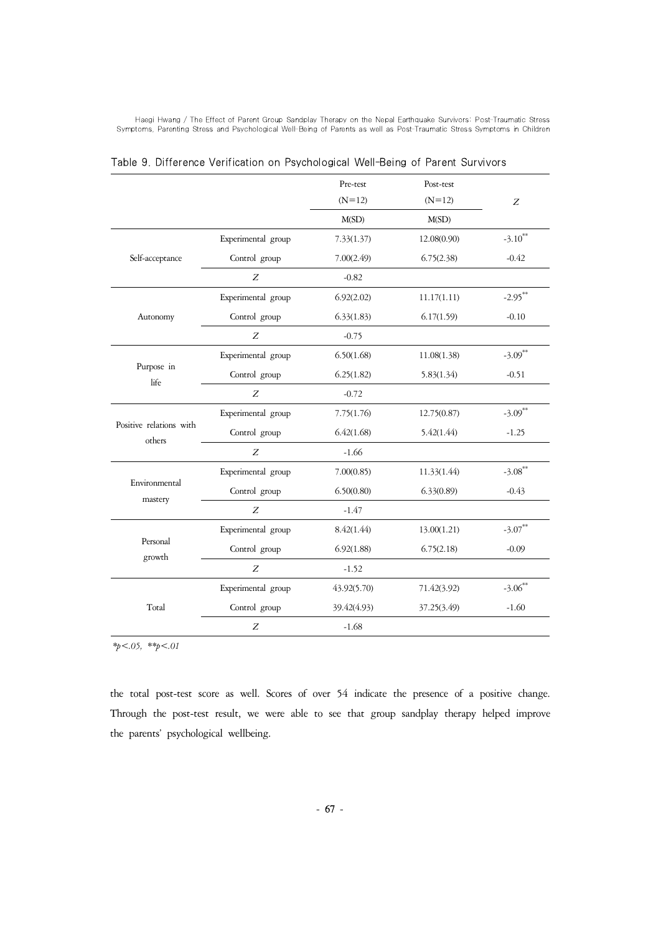|                                   |                    | Pre-test    | Post-test   |                       |
|-----------------------------------|--------------------|-------------|-------------|-----------------------|
|                                   |                    | $(N=12)$    | $(N=12)$    | Z                     |
|                                   |                    | M(SD)       | M(SD)       |                       |
|                                   | Experimental group | 7.33(1.37)  | 12.08(0.90) | $-3.10$ <sup>**</sup> |
| Self-acceptance                   | Control group      | 7.00(2.49)  | 6.75(2.38)  | $-0.42$               |
|                                   | Z                  | $-0.82$     |             |                       |
|                                   | Experimental group | 6.92(2.02)  | 11.17(1.11) | $-2.95***$            |
| Autonomy                          | Control group      | 6.33(1.83)  | 6.17(1.59)  | $-0.10$               |
|                                   | Z                  | $-0.75$     |             |                       |
|                                   | Experimental group | 6.50(1.68)  | 11.08(1.38) | $-3.09$ <sup>**</sup> |
| Purpose in<br>life                | Control group      | 6.25(1.82)  | 5.83(1.34)  | $-0.51$               |
|                                   | Z                  | $-0.72$     |             |                       |
|                                   | Experimental group | 7.75(1.76)  | 12.75(0.87) | $-3.09$ **            |
| Positive relations with<br>others | Control group      | 6.42(1.68)  | 5.42(1.44)  | $-1.25$               |
|                                   | $\boldsymbol{Z}$   | $-1.66$     |             |                       |
|                                   | Experimental group | 7.00(0.85)  | 11.33(1.44) | $-3.08$ **            |
| Environmental<br>mastery          | Control group      | 6.50(0.80)  | 6.33(0.89)  | $-0.43$               |
|                                   | Z                  | $-1.47$     |             |                       |
|                                   | Experimental group | 8.42(1.44)  | 13.00(1.21) | $-3.07***$            |
| Personal<br>growth                | Control group      | 6.92(1.88)  | 6.75(2.18)  | $-0.09$               |
|                                   | Ζ                  | $-1.52$     |             |                       |
|                                   | Experimental group | 43.92(5.70) | 71.42(3.92) | $-3.06$ **            |
| Total                             | Control group      | 39.42(4.93) | 37.25(3.49) | $-1.60$               |
|                                   | Z                  | $-1.68$     |             |                       |

Table 9. Difference Verification on Psychological Well-Being of Parent Survivors

*\*p<.05, \*\*p<.01*

the total post-test score as well. Scores of over 54 indicate the presence of a positive change. Through the post-test result, we were able to see that group sandplay therapy helped improve the parents' psychological wellbeing.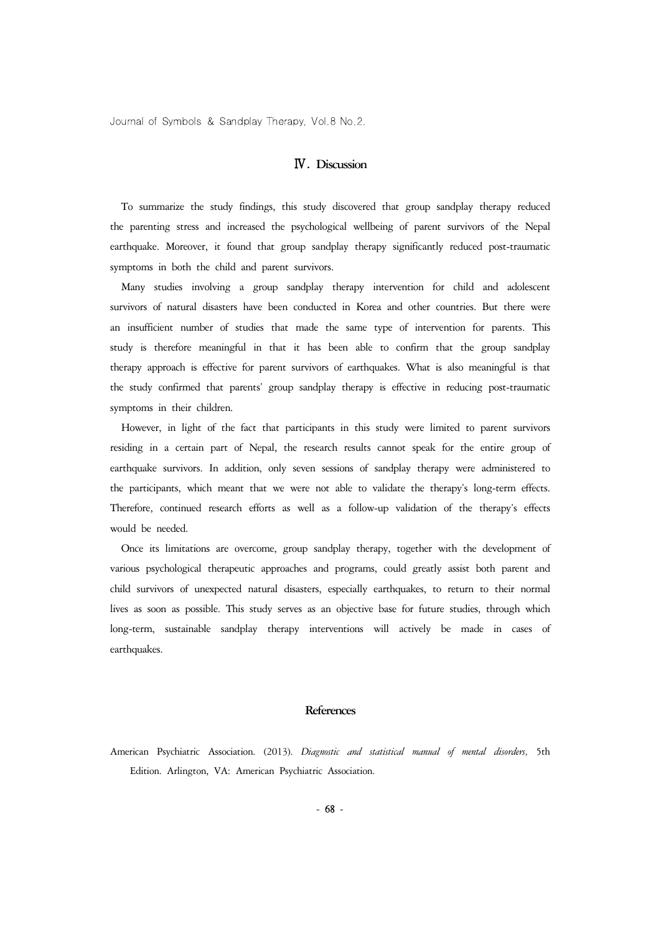## Ⅳ**. Discussion**

To summarize the study findings, this study discovered that group sandplay therapy reduced the parenting stress and increased the psychological wellbeing of parent survivors of the Nepal earthquake. Moreover, it found that group sandplay therapy significantly reduced post-traumatic symptoms in both the child and parent survivors.

Many studies involving a group sandplay therapy intervention for child and adolescent survivors of natural disasters have been conducted in Korea and other countries. But there were an insufficient number of studies that made the same type of intervention for parents. This study is therefore meaningful in that it has been able to confirm that the group sandplay therapy approach is effective for parent survivors of earthquakes. What is also meaningful is that the study confirmed that parents' group sandplay therapy is effective in reducing post-traumatic symptoms in their children.

However, in light of the fact that participants in this study were limited to parent survivors residing in a certain part of Nepal, the research results cannot speak for the entire group of earthquake survivors. In addition, only seven sessions of sandplay therapy were administered to the participants, which meant that we were not able to validate the therapy's long-term effects. Therefore, continued research efforts as well as a follow-up validation of the therapy's effects would be needed.

Once its limitations are overcome, group sandplay therapy, together with the development of various psychological therapeutic approaches and programs, could greatly assist both parent and child survivors of unexpected natural disasters, especially earthquakes, to return to their normal lives as soon as possible. This study serves as an objective base for future studies, through which long-term, sustainable sandplay therapy interventions will actively be made in cases of earthquakes.

#### **References**

American Psychiatric Association. (2013). *Diagnostic and statistical manual of mental disorders,* 5th Edition. Arlington, VA: American Psychiatric Association.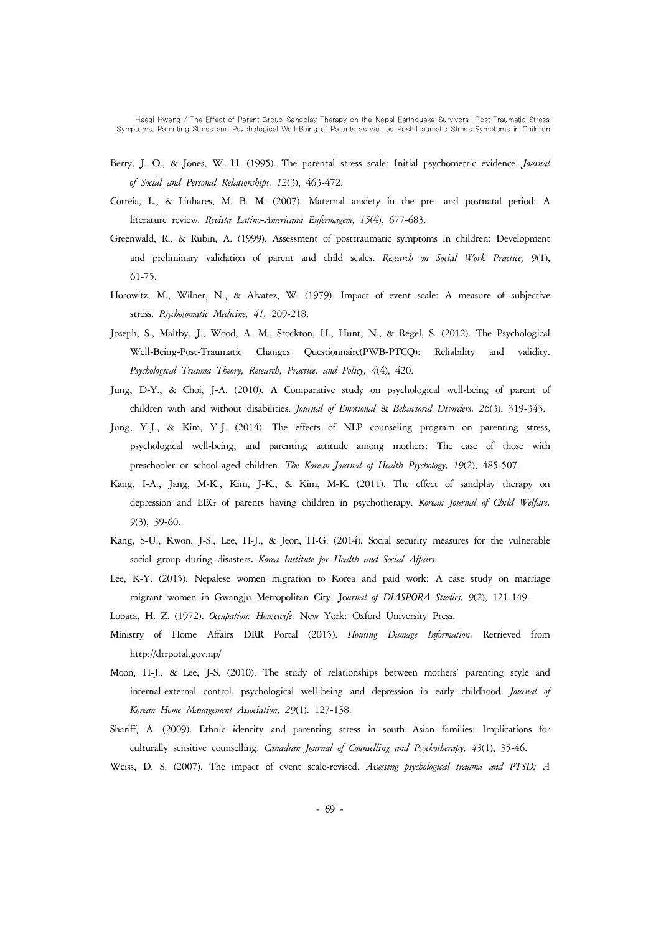- Berry, J. O., & Jones, W. H. (1995). The parental stress scale: Initial psychometric evidence. *Journal of Social and Personal Relationships, 12*(3), 463-472.
- Correia, L., & Linhares, M. B. M. (2007). Maternal anxiety in the pre- and postnatal period: A literature review. *Revista Latino-Americana Enfermagem, 15*(4), 677-683.
- Greenwald, R., & Rubin, A. (1999). Assessment of posttraumatic symptoms in children: Development and preliminary validation of parent and child scales. *Research on Social Work Practice, 9*(1), 61-75.
- Horowitz, M., Wilner, N., & Alvatez, W. (1979). Impact of event scale: A measure of subjective stress. *Psychosomatic Medicine, 41,* 209-218.
- Joseph, S., Maltby, J., Wood, A. M., Stockton, H., Hunt, N., & Regel, S. (2012). The Psychological Well-Being-Post-Traumatic Changes Questionnaire(PWB-PTCQ): Reliability and validity. *Psychological Trauma Theory, Research, Practice, and Policy, 4*(4), 420.
- Jung, D-Y., & Choi, J-A. (2010). A Comparative study on psychological well-being of parent of children with and without disabilities. *Journal of Emotional* & *Behavioral Disorders, 26*(3), 319-343.
- Jung, Y-J., & Kim, Y-J. (2014). The effects of NLP counseling program on parenting stress, psychological well-being, and parenting attitude among mothers: The case of those with preschooler or school-aged children. *The Korean Journal of Health Psychology, 19*(2), 485-507.
- Kang, I-A., Jang, M-K., Kim, J-K., & Kim, M-K. (2011). The effect of sandplay therapy on depression and EEG of parents having children in psychotherapy. *Korean Journal of Child Welfare, 9*(3), 39-60.
- Kang, S-U., Kwon, J-S., Lee, H-J., & Jeon, H-G. (2014)*.* Social security measures for the vulnerable social group during disasters**.** *Korea Institute for Health and Social Affairs.*
- Lee, K-Y. (2015). Nepalese women migration to Korea and paid work: A case study on marriage migrant women in Gwangju Metropolitan City. Jo*urnal of DIASPORA Studies, 9*(2), 121-149.
- Lopata, H. Z. (1972). *Occupation: Housewife.* New York: Oxford University Press.
- Ministry of Home Affairs DRR Portal (2015). *Housing Damage Information.* Retrieved from http://drrpotal.gov.np/
- Moon, H-J., & Lee, J-S. (2010). The study of relationships between mothers' parenting style and internal-external control, psychological well-being and depression in early childhood. *Journal of Korean Home Management Association, 29*(1). 127-138.
- Shariff, A. (2009). Ethnic identity and parenting stress in south Asian families: Implications for culturally sensitive counselling. *Canadian Journal of Counselling and Psychotherapy, 43*(1), 35-46.
- Weiss, D. S. (2007). The impact of event scale-revised. *Assessing psychological trauma and PTSD: A*